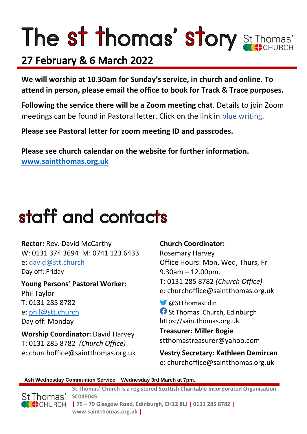# The st thomas' story St Thomas'

### 27 February & 6 March 2022

**We will worship at 10.30am for Sunday's service, in church and online. To attend in person, please email the office to book for Track & Trace purposes.**

**Following the service there will be a Zoom meeting chat**. Details to join Zoom meetings can be found in Pastoral letter. Click on the link in blue writing.

**Please see Pastoral letter for zoom meeting ID and passcodes.**

**Please see church calendar on the website for further information. [www.saintthomas.org.uk](http://www.saintthomas.org.uk/)**

### staff and contacts

**Rector:** Rev. David McCarthy W: 0131 374 3694 M: 0741 123 6433 e: david@stt.church Day off: Friday

**Young Persons' Pastoral Worker:** Phil Taylor T: 0131 285 8782 e: [phil@stt.church](mailto:phil@stt.church) Day off: Monday

**Worship Coordinator:** David Harvey T: 0131 285 8782 *(Church Office)* e: churchoffice@saintthomas.org.uk

#### **Church Coordinator:**

Rosemary Harvey Office Hours: Mon, Wed, Thurs, Fri 9.30am – 12.00pm. T: 0131 285 8782 *(Church Office)* e: churchoffice@saintthomas.org.uk

@StThomasEdin **St Thomas' Church, Edinburgh** https://saintthomas.org.uk

**Treasurer: Miller Bogie** stthomastreasurer@yahoo.com

**Vestry Secretary: Kathleen Demircan**  e: churchoffice@saintthomas.org.uk

#### **Ash Wednesday Communion Service Wednesday 3rd March at 7pm.**



**St Thomas' Church is a registered Scottish Charitable Incorporated Organisation SC049045 | 75 – 79 Glasgow Road, Edinburgh, EH12 8LJ | 0131 285 8782 |** 

**www.saintthomas.org.uk |**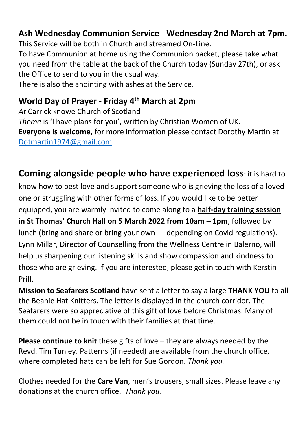#### **Ash Wednesday Communion Service** - **Wednesday 2nd March at 7pm.**

This Service will be both in Church and streamed On-Line.

To have Communion at home using the Communion packet, please take what you need from the table at the back of the Church today (Sunday 27th), or ask the Office to send to you in the usual way.

There is also the anointing with ashes at the Service.

#### **World Day of Prayer - Friday 4th March at 2pm**

*At* Carrick knowe Church of Scotland *Theme* is 'I have plans for you', written by Christian Women of UK. **Everyone is welcome**, for more information please contact Dorothy Martin at [Dotmartin1974@gmail.com](mailto:Dotmartin1974@gmail.com)

**Coming alongside people who have experienced loss:** it is hard to

know how to best love and support someone who is grieving the loss of a loved one or struggling with other forms of loss. If you would like to be better equipped, you are warmly invited to come along to a **half-day training session in St Thomas' Church Hall on 5 March 2022 from 10am – 1pm**, followed by lunch (bring and share or bring your own — depending on Covid regulations). Lynn Millar, Director of Counselling from the Wellness Centre in Balerno, will help us sharpening our listening skills and show compassion and kindness to those who are grieving. If you are interested, please get in touch with Kerstin Prill.

**Mission to Seafarers Scotland** have sent a letter to say a large **THANK YOU** to all the Beanie Hat Knitters. The letter is displayed in the church corridor. The Seafarers were so appreciative of this gift of love before Christmas. Many of them could not be in touch with their families at that time.

**Please continue to knit** these gifts of love – they are always needed by the Revd. Tim Tunley. Patterns (if needed) are available from the church office, where completed hats can be left for Sue Gordon. *Thank you.*

Clothes needed for the **Care Van**, men's trousers, small sizes. Please leave any donations at the church office. *Thank you.*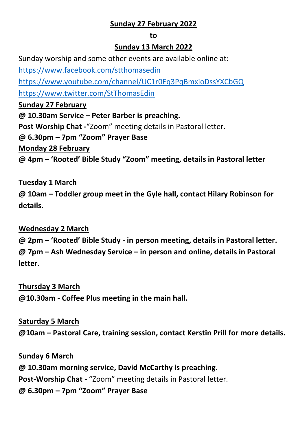#### **Sunday 27 February 2022**

#### **to**

#### **Sunday 13 March 2022**

Sunday worship and some other events are available online at:

<https://www.facebook.com/stthomasedin>

<https://www.youtube.com/channel/UC1r0Eq3PqBmxioDssYXCbGQ>

<https://www.twitter.com/StThomasEdin>

**Sunday 27 February**

**@ 10.30am Service – Peter Barber is preaching.**

**Post Worship Chat -**"Zoom" meeting details in Pastoral letter.

**@ 6.30pm – 7pm "Zoom" Prayer Base**

**Monday 28 February**

**@ 4pm – 'Rooted' Bible Study "Zoom" meeting, details in Pastoral letter**

#### **Tuesday 1 March**

**@ 10am – Toddler group meet in the Gyle hall, contact Hilary Robinson for details.**

#### **Wednesday 2 March**

**@ 2pm – 'Rooted' Bible Study - in person meeting, details in Pastoral letter. @ 7pm – Ash Wednesday Service – in person and online, details in Pastoral letter.**

#### **Thursday 3 March**

**@10.30am - Coffee Plus meeting in the main hall.**

#### **Saturday 5 March**

**@10am – Pastoral Care, training session, contact Kerstin Prill for more details.**

#### **Sunday 6 March**

**@ 10.30am morning service, David McCarthy is preaching. Post-Worship Chat -** "Zoom" meeting details in Pastoral letter. **@ 6.30pm – 7pm "Zoom" Prayer Base**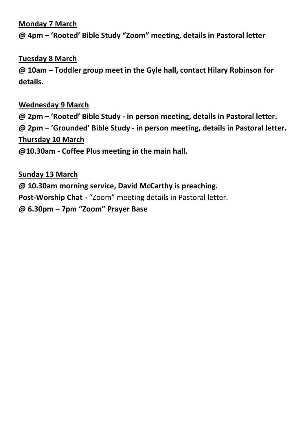#### **Monday 7 March**

**@ 4pm – 'Rooted' Bible Study "Zoom" meeting, details in Pastoral letter**

#### **Tuesday 8 March**

**@ 10am – Toddler group meet in the Gyle hall, contact Hilary Robinson for details.**

#### **Wednesday 9 March**

**@ 2pm – 'Rooted' Bible Study - in person meeting, details in Pastoral letter. @ 2pm – 'Grounded' Bible Study - in person meeting, details in Pastoral letter. Thursday 10 March @10.30am - Coffee Plus meeting in the main hall.**

**Sunday 13 March @ 10.30am morning service, David McCarthy is preaching. Post-Worship Chat -** "Zoom" meeting details in Pastoral letter. **@ 6.30pm – 7pm "Zoom" Prayer Base**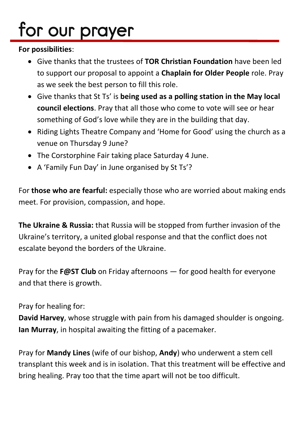## for our prayer

#### **For possibilities**:

- Give thanks that the trustees of **TOR Christian Foundation** have been led to support our proposal to appoint a **Chaplain for Older People** role. Pray as we seek the best person to fill this role.
- Give thanks that St Ts' is **being used as a polling station in the May local council elections**. Pray that all those who come to vote will see or hear something of God's love while they are in the building that day.
- Riding Lights Theatre Company and 'Home for Good' using the church as a venue on Thursday 9 June?
- The Corstorphine Fair taking place Saturday 4 June.
- A 'Family Fun Day' in June organised by St Ts'?

For **those who are fearful:** especially those who are worried about making ends meet. For provision, compassion, and hope.

**The Ukraine & Russia:** that Russia will be stopped from further invasion of the Ukraine's territory, a united global response and that the conflict does not escalate beyond the borders of the Ukraine.

Pray for the **F@ST Club** on Friday afternoons — for good health for everyone and that there is growth.

#### Pray for healing for:

**David Harvey**, whose struggle with pain from his damaged shoulder is ongoing. **Ian Murray**, in hospital awaiting the fitting of a pacemaker.

Pray for **Mandy Lines** (wife of our bishop, **Andy**) who underwent a stem cell transplant this week and is in isolation. That this treatment will be effective and bring healing. Pray too that the time apart will not be too difficult.